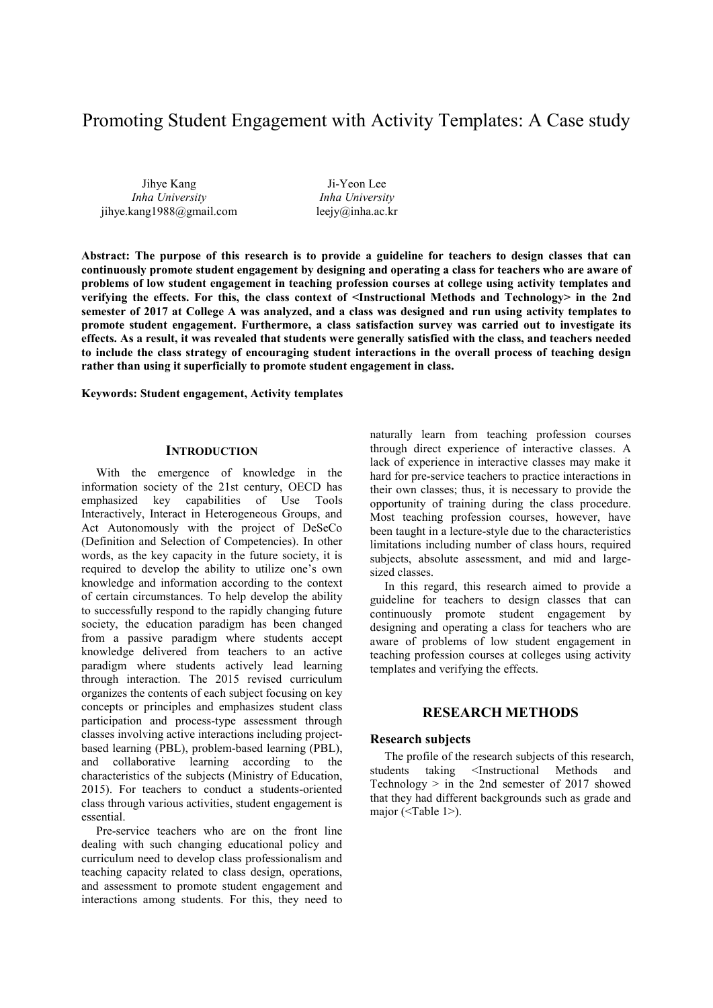# Promoting Student Engagement with Activity Templates: A Case study

Jihye Kang *Inha University* jihye.kang1988@gmail.com

Ji-Yeon Lee *Inha University* leejy@inha.ac.kr

**Abstract: The purpose of this research is to provide a guideline for teachers to design classes that can continuously promote student engagement by designing and operating a class for teachers who are aware of problems of low student engagement in teaching profession courses at college using activity templates and verifying the effects. For this, the class context of <Instructional Methods and Technology> in the 2nd semester of 2017 at College A was analyzed, and a class was designed and run using activity templates to promote student engagement. Furthermore, a class satisfaction survey was carried out to investigate its effects. As a result, it was revealed that students were generally satisfied with the class, and teachers needed to include the class strategy of encouraging student interactions in the overall process of teaching design rather than using it superficially to promote student engagement in class.** 

**Keywords: Student engagement, Activity templates**

## **INTRODUCTION**

With the emergence of knowledge in the information society of the 21st century, OECD has emphasized key capabilities of Use Tools Interactively, Interact in Heterogeneous Groups, and Act Autonomously with the project of DeSeCo (Definition and Selection of Competencies). In other words, as the key capacity in the future society, it is required to develop the ability to utilize one's own knowledge and information according to the context of certain circumstances. To help develop the ability to successfully respond to the rapidly changing future society, the education paradigm has been changed from a passive paradigm where students accept knowledge delivered from teachers to an active paradigm where students actively lead learning through interaction. The 2015 revised curriculum organizes the contents of each subject focusing on key concepts or principles and emphasizes student class participation and process-type assessment through classes involving active interactions including projectbased learning (PBL), problem-based learning (PBL), and collaborative learning according to the characteristics of the subjects (Ministry of Education, 2015). For teachers to conduct a students-oriented class through various activities, student engagement is essential.

Pre-service teachers who are on the front line dealing with such changing educational policy and curriculum need to develop class professionalism and teaching capacity related to class design, operations, and assessment to promote student engagement and interactions among students. For this, they need to

naturally learn from teaching profession courses through direct experience of interactive classes. A lack of experience in interactive classes may make it hard for pre-service teachers to practice interactions in their own classes; thus, it is necessary to provide the opportunity of training during the class procedure. Most teaching profession courses, however, have been taught in a lecture-style due to the characteristics limitations including number of class hours, required subjects, absolute assessment, and mid and largesized classes.

In this regard, this research aimed to provide a guideline for teachers to design classes that can continuously promote student engagement by designing and operating a class for teachers who are aware of problems of low student engagement in teaching profession courses at colleges using activity templates and verifying the effects.

# **RESEARCH METHODS**

## **Research subjects**

The profile of the research subjects of this research,<br>students taking <Instructional Methods and taking <Instructional Methods and Technology  $>$  in the 2nd semester of 2017 showed that they had different backgrounds such as grade and major (<Table 1>).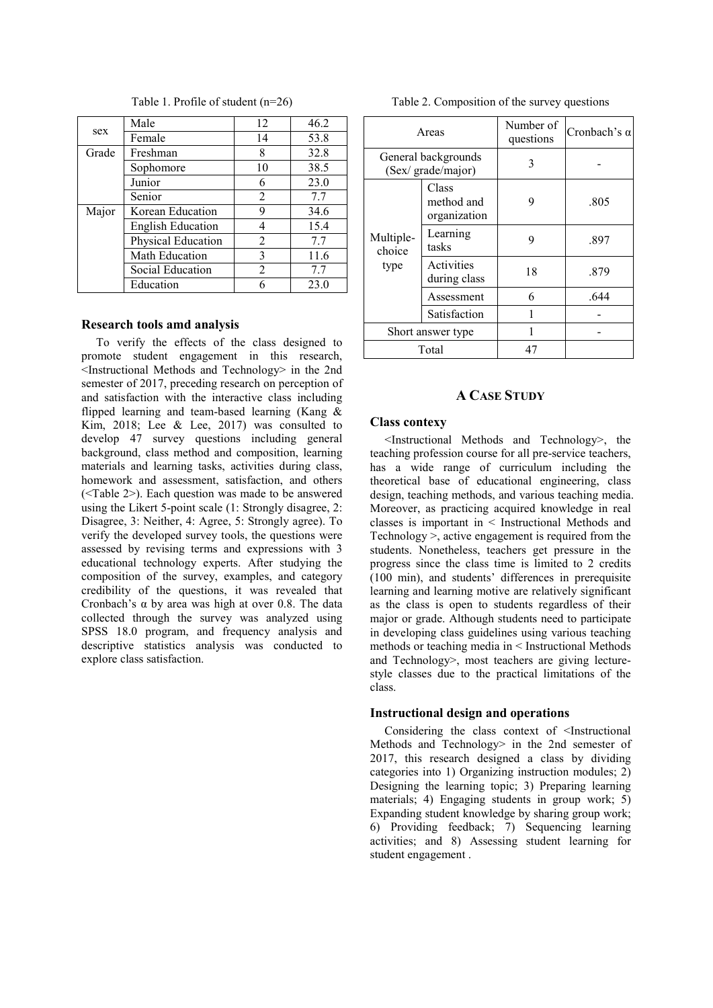| sex   | Male                     | 12             | 46.2 |
|-------|--------------------------|----------------|------|
|       | Female                   | 14             | 53.8 |
| Grade | Freshman                 | 8              | 32.8 |
|       | Sophomore                | 10             | 38.5 |
|       | Junior                   | 6              | 23.0 |
|       | Senior                   | 2              | 7.7  |
| Major | Korean Education         | 9              | 34.6 |
|       | <b>English Education</b> |                | 15.4 |
|       | Physical Education       | 2              | 7.7  |
|       | Math Education           | 3              | 11.6 |
|       | Social Education         | $\mathfrak{D}$ | 7.7  |
|       | Education                |                | 23.0 |

Table 1. Profile of student (n=26)

#### **Research tools amd analysis**

To verify the effects of the class designed to promote student engagement in this research, <Instructional Methods and Technology> in the 2nd semester of 2017, preceding research on perception of and satisfaction with the interactive class including flipped learning and team-based learning (Kang & Kim, 2018; Lee & Lee, 2017) was consulted to develop 47 survey questions including general background, class method and composition, learning materials and learning tasks, activities during class, homework and assessment, satisfaction, and others (<Table 2>). Each question was made to be answered using the Likert 5-point scale (1: Strongly disagree, 2: Disagree, 3: Neither, 4: Agree, 5: Strongly agree). To verify the developed survey tools, the questions were assessed by revising terms and expressions with 3 educational technology experts. After studying the composition of the survey, examples, and category credibility of the questions, it was revealed that Cronbach's  $\alpha$  by area was high at over 0.8. The data collected through the survey was analyzed using SPSS 18.0 program, and frequency analysis and descriptive statistics analysis was conducted to explore class satisfaction.

Table 2. Composition of the survey questions

| Areas                                     |                                     | Number of<br>questions | Cronbach's $\alpha$ |
|-------------------------------------------|-------------------------------------|------------------------|---------------------|
| General backgrounds<br>(Sex/ grade/major) |                                     | 3                      |                     |
| Multiple-<br>choice<br>type               | Class<br>method and<br>organization | 9                      | .805                |
|                                           | Learning<br>tasks                   | 9                      | .897                |
|                                           | Activities<br>during class          | 18                     | .879                |
|                                           | Assessment                          | 6                      | .644                |
|                                           | Satisfaction                        |                        |                     |
| Short answer type                         |                                     |                        |                     |
| Total                                     |                                     | 47                     |                     |

## **A CASE STUDY**

#### **Class contexy**

<Instructional Methods and Technology>, the teaching profession course for all pre-service teachers, has a wide range of curriculum including the theoretical base of educational engineering, class design, teaching methods, and various teaching media. Moreover, as practicing acquired knowledge in real classes is important in < Instructional Methods and Technology >, active engagement is required from the students. Nonetheless, teachers get pressure in the progress since the class time is limited to 2 credits (100 min), and students' differences in prerequisite learning and learning motive are relatively significant as the class is open to students regardless of their major or grade. Although students need to participate in developing class guidelines using various teaching methods or teaching media in < Instructional Methods and Technology>, most teachers are giving lecturestyle classes due to the practical limitations of the class.

## **Instructional design and operations**

Considering the class context of <Instructional Methods and Technology> in the 2nd semester of 2017, this research designed a class by dividing categories into 1) Organizing instruction modules; 2) Designing the learning topic; 3) Preparing learning materials; 4) Engaging students in group work; 5) Expanding student knowledge by sharing group work; 6) Providing feedback; 7) Sequencing learning activities; and 8) Assessing student learning for student engagement .